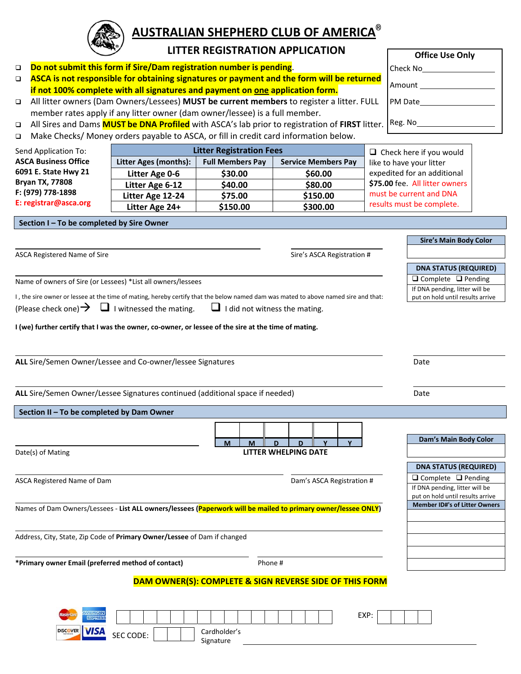

# **AUSTRALIAN SHEPHERD CLUB OF AMERICA®**

## **LITTER REGISTRATION APPLICATION**

- **Do not submit this form if Sire/Dam registration number is pending**.
- **ASCA is not responsible for obtaining signatures or payment and the form will be returned if not 100% complete with all signatures and payment on one application form.**
- All litter owners (Dam Owners/Lessees) **MUST be current members** to register a litter. FULL member rates apply if any litter owner (dam owner/lessee) is a full member.
- All Sires and Dams **MUST be DNA Profiled** with ASCA's lab prior to registration of **FIRST** litter.
- Make Checks/ Money orders payable to ASCA, or fill in credit card information below.

| Send Application To:                                                                         | <b>Litter Registration Fees</b> | $\Box$ Check here if you would                        |          |                                |  |  |
|----------------------------------------------------------------------------------------------|---------------------------------|-------------------------------------------------------|----------|--------------------------------|--|--|
| <b>ASCA Business Office</b>                                                                  | Litter Ages (months):           | <b>Service Members Pay</b><br><b>Full Members Pay</b> |          | like to have your litter       |  |  |
| 6091 E. State Hwy 21<br><b>Bryan TX, 77808</b><br>F: (979) 778-1898<br>E: registrar@asca.org | Litter Age 0-6                  | \$30.00                                               | \$60.00  | expedited for an additional    |  |  |
|                                                                                              | Litter Age 6-12                 | \$40.00                                               | \$80.00  | \$75.00 fee. All litter owners |  |  |
|                                                                                              | Litter Age 12-24                | \$75.00                                               | \$150.00 | must be current and DNA        |  |  |
|                                                                                              | Litter Age 24+                  | \$150.00                                              | \$300.00 | results must be complete.      |  |  |

**Section I – To be completed by Sire Owner**

ASCA Registered Name of Sire Sire Sire Sire Sire's ASCA Registration #

Name of owners of Sire (or Lessees) \*List all owners/lessees

I , the sire owner or lessee at the time of mating, hereby certify that the below named dam was mated to above named sire and that:

(Please check one)  $\rightarrow$   $\Box$  I witnessed the mating.  $\Box$  I did not witness the mating.

I (we) further certify that I was the owner, co-owner, or lessee of the sire at the time of mating.

**ALL** Sire/Semen Owner/Lessee and Co-owner/lessee Signatures **Date** Date

ALL Sire/Semen Owner/Lessee Signatures continued (additional space if needed) **Date** Date

### **Section II – To be completed by Dam Owner**

| Μ |  |                      |  |
|---|--|----------------------|--|
|   |  | LITTER WHELPING DATE |  |
|   |  |                      |  |

ASCA Registered Name of Dam **Damister Community** Community Community Community Community Community Community Comm

 $Date(s)$  of Mating

Names of Dam Owners/Lessees ‐ **List ALL owners/lessees (Paperwork will be mailed to primary owner/lessee ONLY)**

Address, City, State, Zip Code of **Primary Owner/Lessee** of Dam if changed

**\*Primary owner Email (preferred method of contact)** Phone #

### **DAM OWNER(S): COMPLETE & SIGN REVERSE SIDE OF THIS FORM**

| <b>lastert</b>                   |                                      |  |                           |  |  |  | EXP: |  |  |  |
|----------------------------------|--------------------------------------|--|---------------------------|--|--|--|------|--|--|--|
| <b>DISCOVER</b><br><u>v isam</u> | $\sim$ $\sim$ $\sim$<br>CODE:<br>ᇰᆫᇰ |  | Cardholder's<br>Signature |  |  |  |      |  |  |  |

|          | <b>Office Use Only</b> |  |
|----------|------------------------|--|
| Check No |                        |  |

Amount

PM Date

Reg. No

**Dam's Main Body Color**

**Sire's Main Body Color**

**DNA STATUS (REQUIRED)**  $\Box$  Complete  $\Box$  Pending If DNA pending, litter will be put on hold until results arrive

| <b>DNA STATUS (REQUIRED)</b>         |  |  |  |  |  |  |
|--------------------------------------|--|--|--|--|--|--|
| $\Box$ Complete $\Box$ Pending       |  |  |  |  |  |  |
| If DNA pending, litter will be       |  |  |  |  |  |  |
| put on hold until results arrive     |  |  |  |  |  |  |
| <b>Member ID#'s of Litter Owners</b> |  |  |  |  |  |  |
|                                      |  |  |  |  |  |  |
|                                      |  |  |  |  |  |  |